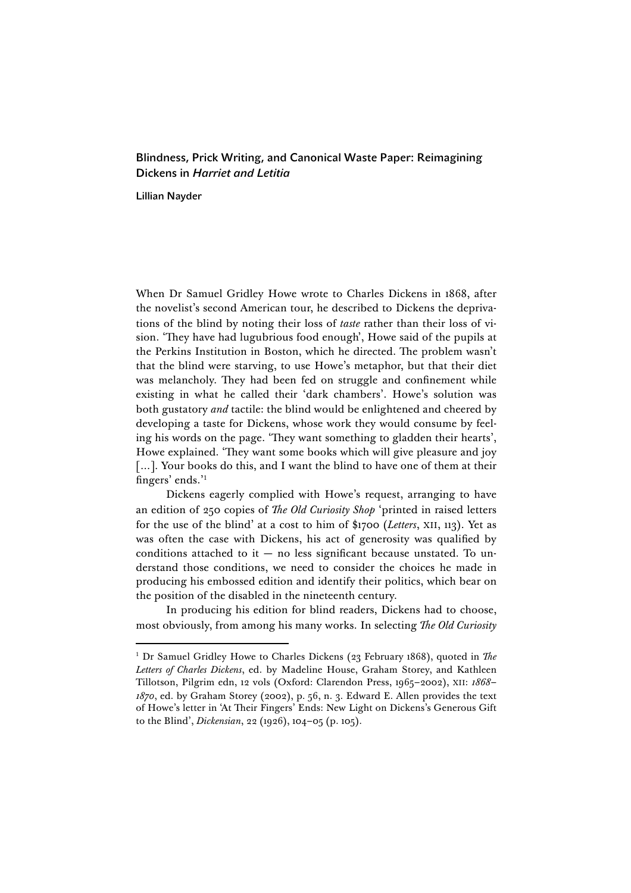## Blindness, Prick Writing, and Canonical Waste Paper: Reimagining Dickens in *Harriet and Letitia*

Lillian Nayder

When Dr Samuel Gridley Howe wrote to Charles Dickens in 1868, after the novelist's second American tour, he described to Dickens the deprivations of the blind by noting their loss of *taste* rather than their loss of vision. 'They have had lugubrious food enough', Howe said of the pupils at the Perkins Institution in Boston, which he directed. The problem wasn't that the blind were starving, to use Howe's metaphor, but that their diet was melancholy. They had been fed on struggle and confinement while existing in what he called their 'dark chambers'. Howe's solution was both gustatory *and* tactile: the blind would be enlightened and cheered by developing a taste for Dickens, whose work they would consume by feeling his words on the page. 'They want something to gladden their hearts', Howe explained. 'They want some books which will give pleasure and joy [...]. Your books do this, and I want the blind to have one of them at their fingers' ends.' 1

Dickens eagerly complied with Howe's request, arranging to have an edition of 250 copies of *The Old Curiosity Shop* 'printed in raised letters for the use of the blind' at a cost to him of \$1700 (*Letters*, XII, 113). Yet as was often the case with Dickens, his act of generosity was qualified by conditions attached to it  $-$  no less significant because unstated. To understand those conditions, we need to consider the choices he made in producing his embossed edition and identify their politics, which bear on the position of the disabled in the nineteenth century.

In producing his edition for blind readers, Dickens had to choose, most obviously, from among his many works. In selecting *The Old Curiosity* 

<sup>&</sup>lt;sup>1</sup> Dr Samuel Gridley Howe to Charles Dickens (23 February 1868), quoted in *The Letters of Charles Dickens*, ed. by Madeline House, Graham Storey, and Kathleen Tillotson, Pilgrim edn, 12 vols (Oxford: Clarendon Press, 1965–2002), XII: *1868– 1870*, ed. by Graham Storey (2002), p. 56, n. 3. Edward E. Allen provides the text of Howe's letter in 'At Their Fingers' Ends: New Light on Dickens's Generous Gift to the Blind', *Dickensian*, 22 (1926), 104–05 (p. 105).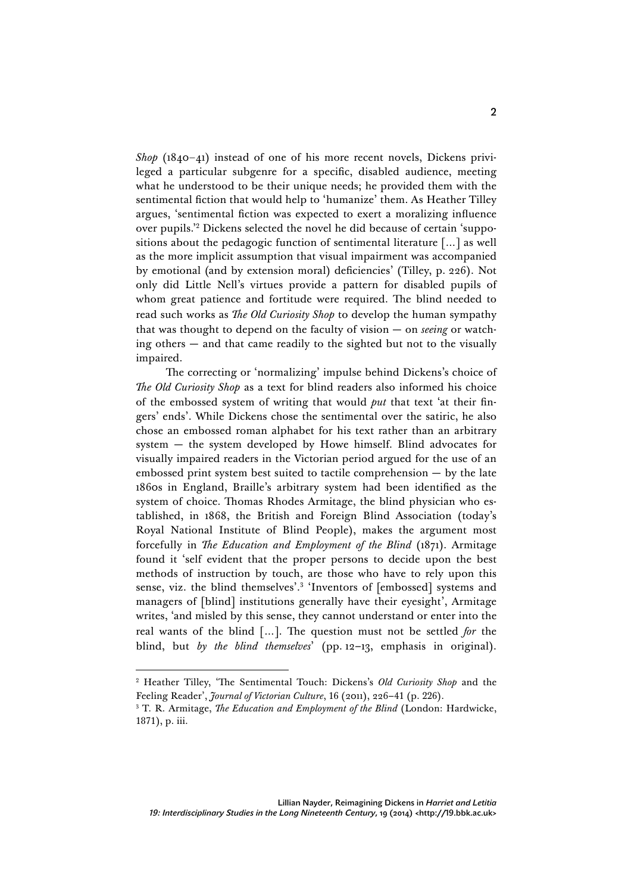*Shop* (1840–41) instead of one of his more recent novels, Dickens privileged a particular subgenre for a specific, disabled audience, meeting what he understood to be their unique needs; he provided them with the sentimental fiction that would help to 'humanize' them. As Heather Tilley argues, 'sentimental fiction was expected to exert a moralizing influence over pupils.' <sup>2</sup> Dickens selected the novel he did because of certain 'suppositions about the pedagogic function of sentimental literature […] as well as the more implicit assumption that visual impairment was accompanied by emotional (and by extension moral) deficiencies' (Tilley, p. 226). Not only did Little Nell's virtues provide a pattern for disabled pupils of whom great patience and fortitude were required. The blind needed to read such works as *The Old Curiosity Shop* to develop the human sympathy that was thought to depend on the faculty of vision — on *seeing* or watching others — and that came readily to the sighted but not to the visually impaired.

The correcting or 'normalizing' impulse behind Dickens's choice of *The Old Curiosity Shop* as a text for blind readers also informed his choice of the embossed system of writing that would *put* that text 'at their fingers' ends'. While Dickens chose the sentimental over the satiric, he also chose an embossed roman alphabet for his text rather than an arbitrary system — the system developed by Howe himself. Blind advocates for visually impaired readers in the Victorian period argued for the use of an embossed print system best suited to tactile comprehension — by the late 1860s in England, Braille's arbitrary system had been identified as the system of choice. Thomas Rhodes Armitage, the blind physician who established, in 1868, the British and Foreign Blind Association (today's Royal National Institute of Blind People), makes the argument most forcefully in *The Education and Employment of the Blind* (1871). Armitage found it 'self evident that the proper persons to decide upon the best methods of instruction by touch, are those who have to rely upon this sense, viz. the blind themselves'.3 'Inventors of [embossed] systems and managers of [blind] institutions generally have their eyesight', Armitage writes, 'and misled by this sense, they cannot understand or enter into the real wants of the blind […]. The question must not be settled *for* the blind, but *by the blind themselves*' (pp. 12–13, emphasis in original).

<sup>2</sup> Heather Tilley, 'The Sentimental Touch: Dickens's *Old Curiosity Shop* and the Feeling Reader', *Journal of Victorian Culture*, 16 (2011), 226–41 (p. 226).

<sup>3</sup> T. R. Armitage, *The Education and Employment of the Blind* (London: Hardwicke, 1871), p. iii.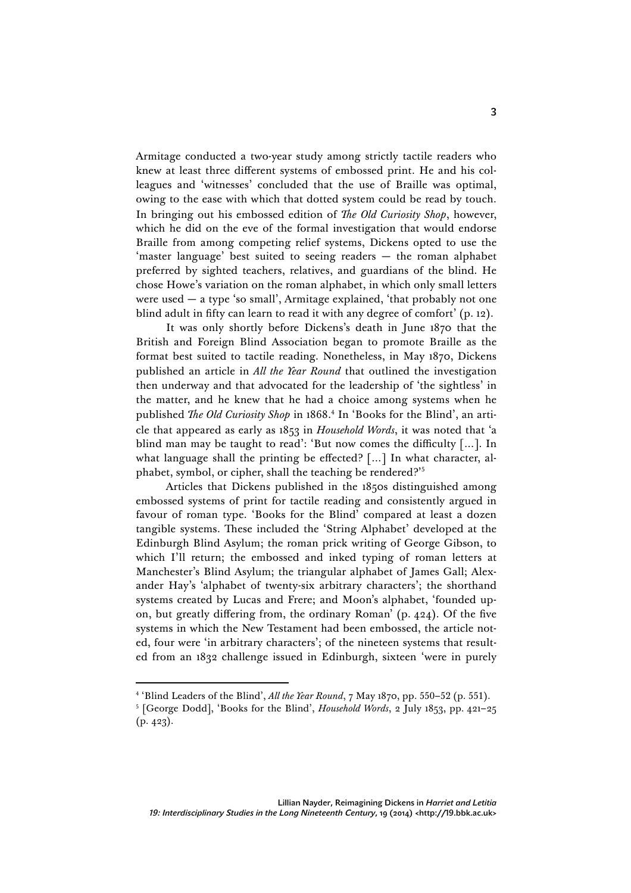Armitage conducted a two-year study among strictly tactile readers who knew at least three different systems of embossed print. He and his colleagues and 'witnesses' concluded that the use of Braille was optimal, owing to the ease with which that dotted system could be read by touch. In bringing out his embossed edition of *The Old Curiosity Shop*, however, which he did on the eve of the formal investigation that would endorse Braille from among competing relief systems, Dickens opted to use the 'master language' best suited to seeing readers — the roman alphabet preferred by sighted teachers, relatives, and guardians of the blind. He chose Howe's variation on the roman alphabet, in which only small letters were used  $-$  a type 'so small', Armitage explained, 'that probably not one blind adult in fifty can learn to read it with any degree of comfort' (p. 12).

It was only shortly before Dickens's death in June 1870 that the British and Foreign Blind Association began to promote Braille as the format best suited to tactile reading. Nonetheless, in May 1870, Dickens published an article in *All the Year Round* that outlined the investigation then underway and that advocated for the leadership of 'the sightless' in the matter, and he knew that he had a choice among systems when he published *The Old Curiosity Shop* in 1868. <sup>4</sup> In 'Books for the Blind', an article that appeared as early as 1853 in *Household Words*, it was noted that 'a blind man may be taught to read': 'But now comes the difficulty […]. In what language shall the printing be effected? […] In what character, alphabet, symbol, or cipher, shall the teaching be rendered?' 5

Articles that Dickens published in the 1850s distinguished among embossed systems of print for tactile reading and consistently argued in favour of roman type. 'Books for the Blind' compared at least a dozen tangible systems. These included the 'String Alphabet' developed at the Edinburgh Blind Asylum; the roman prick writing of George Gibson, to which I'll return; the embossed and inked typing of roman letters at Manchester's Blind Asylum; the triangular alphabet of James Gall; Alexander Hay's 'alphabet of twenty-six arbitrary characters'; the shorthand systems created by Lucas and Frere; and Moon's alphabet, 'founded upon, but greatly differing from, the ordinary Roman' (p. 424). Of the five systems in which the New Testament had been embossed, the article noted, four were 'in arbitrary characters'; of the nineteen systems that resulted from an 1832 challenge issued in Edinburgh, sixteen 'were in purely

<sup>4</sup> 'Blind Leaders of the Blind', *All the Year Round*, 7 May 1870, pp. 550–52 (p. 551).

<sup>5</sup> [George Dodd], 'Books for the Blind', *Household Words*, 2 July 1853, pp. 421–25 (p. 423).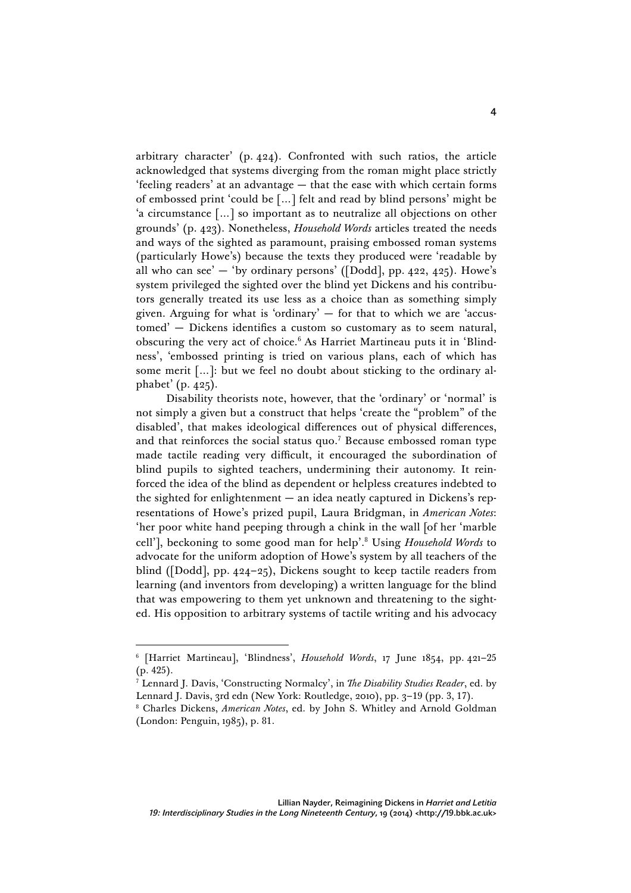arbitrary character' (p. 424). Confronted with such ratios, the article acknowledged that systems diverging from the roman might place strictly 'feeling readers' at an advantage — that the ease with which certain forms of embossed print 'could be […] felt and read by blind persons' might be 'a circumstance […] so important as to neutralize all objections on other grounds' (p. 423). Nonetheless, *Household Words* articles treated the needs and ways of the sighted as paramount, praising embossed roman systems (particularly Howe's) because the texts they produced were 'readable by all who can see'  $-$  'by ordinary persons' ([Dodd], pp. 422, 425). Howe's system privileged the sighted over the blind yet Dickens and his contributors generally treated its use less as a choice than as something simply given. Arguing for what is 'ordinary' — for that to which we are 'accustomed' — Dickens identifies a custom so customary as to seem natural, obscuring the very act of choice.6 As Harriet Martineau puts it in 'Blindness', 'embossed printing is tried on various plans, each of which has some merit […]: but we feel no doubt about sticking to the ordinary alphabet' (p. 425).

Disability theorists note, however, that the 'ordinary' or 'normal' is not simply a given but a construct that helps 'create the "problem" of the disabled', that makes ideological differences out of physical differences, and that reinforces the social status quo.<sup>7</sup> Because embossed roman type made tactile reading very difficult, it encouraged the subordination of blind pupils to sighted teachers, undermining their autonomy. It reinforced the idea of the blind as dependent or helpless creatures indebted to the sighted for enlightenment — an idea neatly captured in Dickens's representations of Howe's prized pupil, Laura Bridgman, in *American Notes*: 'her poor white hand peeping through a chink in the wall [of her 'marble cell'], beckoning to some good man for help'. <sup>8</sup> Using *Household Words* to advocate for the uniform adoption of Howe's system by all teachers of the blind ([Dodd], pp. 424–25), Dickens sought to keep tactile readers from learning (and inventors from developing) a written language for the blind that was empowering to them yet unknown and threatening to the sighted. His opposition to arbitrary systems of tactile writing and his advocacy

<sup>6</sup> [Harriet Martineau], 'Blindness', *Household Words*, 17 June 1854, pp. 421–25 (p. 425).

<sup>7</sup> Lennard J. Davis, 'Constructing Normalcy', in *The Disability Studies Reader*, ed. by Lennard J. Davis, 3rd edn (New York: Routledge, 2010), pp. 3–19 (pp. 3, 17).

<sup>8</sup> Charles Dickens, *American Notes*, ed. by John S. Whitley and Arnold Goldman (London: Penguin, 1985), p. 81.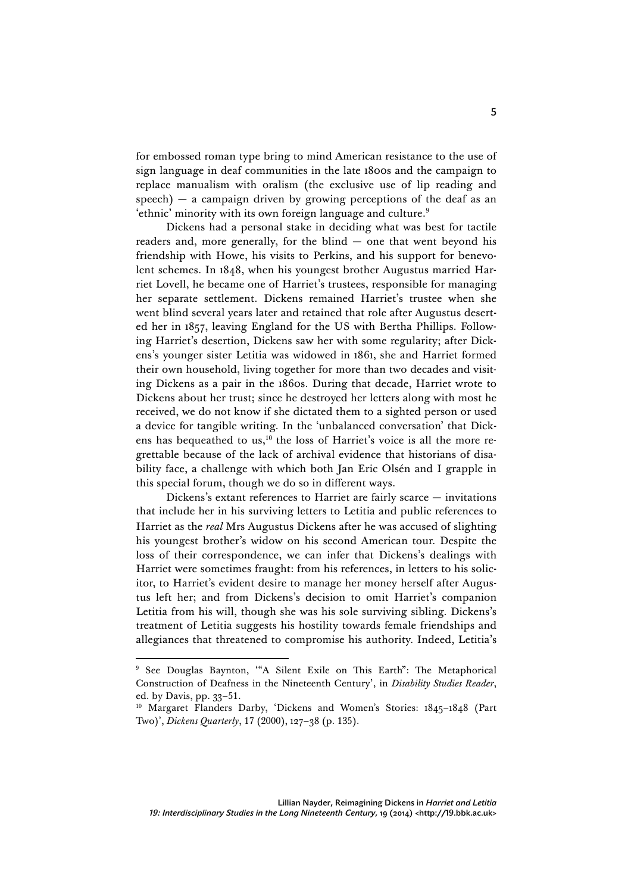for embossed roman type bring to mind American resistance to the use of sign language in deaf communities in the late 1800s and the campaign to replace manualism with oralism (the exclusive use of lip reading and  $speech$ ) — a campaign driven by growing perceptions of the deaf as an 'ethnic' minority with its own foreign language and culture.<sup>9</sup>

Dickens had a personal stake in deciding what was best for tactile readers and, more generally, for the blind — one that went beyond his friendship with Howe, his visits to Perkins, and his support for benevolent schemes. In 1848, when his youngest brother Augustus married Harriet Lovell, he became one of Harriet's trustees, responsible for managing her separate settlement. Dickens remained Harriet's trustee when she went blind several years later and retained that role after Augustus deserted her in 1857, leaving England for the US with Bertha Phillips. Following Harriet's desertion, Dickens saw her with some regularity; after Dickens's younger sister Letitia was widowed in 1861, she and Harriet formed their own household, living together for more than two decades and visiting Dickens as a pair in the 1860s. During that decade, Harriet wrote to Dickens about her trust; since he destroyed her letters along with most he received, we do not know if she dictated them to a sighted person or used a device for tangible writing. In the 'unbalanced conversation' that Dickens has bequeathed to us,<sup>10</sup> the loss of Harriet's voice is all the more regrettable because of the lack of archival evidence that historians of disability face, a challenge with which both Jan Eric Olsén and I grapple in this special forum, though we do so in different ways.

Dickens's extant references to Harriet are fairly scarce — invitations that include her in his surviving letters to Letitia and public references to Harriet as the *real* Mrs Augustus Dickens after he was accused of slighting his youngest brother's widow on his second American tour. Despite the loss of their correspondence, we can infer that Dickens's dealings with Harriet were sometimes fraught: from his references, in letters to his solicitor, to Harriet's evident desire to manage her money herself after Augustus left her; and from Dickens's decision to omit Harriet's companion Letitia from his will, though she was his sole surviving sibling. Dickens's treatment of Letitia suggests his hostility towards female friendships and allegiances that threatened to compromise his authority. Indeed, Letitia's

<sup>9</sup> See Douglas Baynton, '"A Silent Exile on This Earth": The Metaphorical Construction of Deafness in the Nineteenth Century', in *Disability Studies Reader*, ed. by Davis, pp. 33–51.

<sup>10</sup> Margaret Flanders Darby, 'Dickens and Women's Stories: 1845–1848 (Part Two)', *Dickens Quarterly*, 17 (2000), 127–38 (p. 135).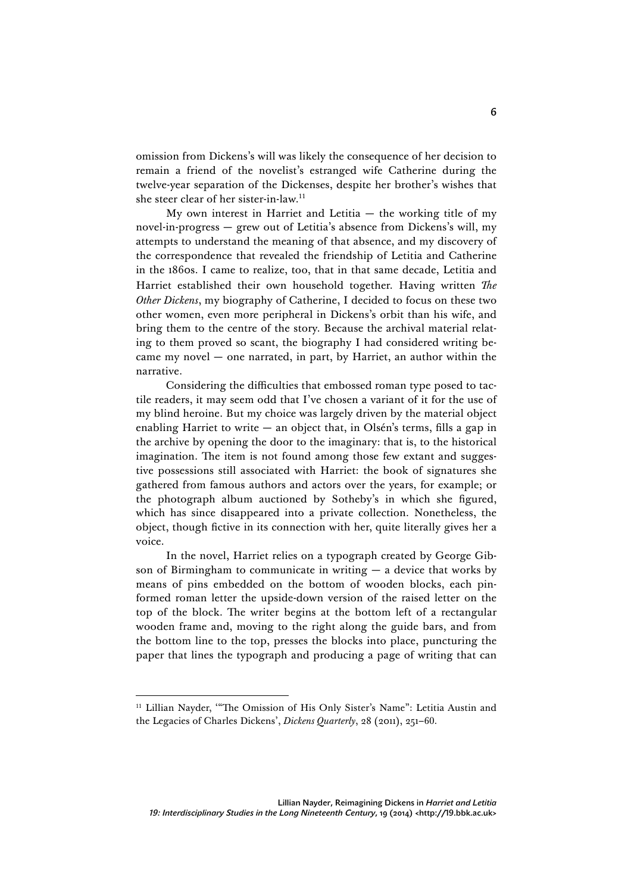omission from Dickens's will was likely the consequence of her decision to remain a friend of the novelist's estranged wife Catherine during the twelve-year separation of the Dickenses, despite her brother's wishes that she steer clear of her sister-in-law.11

My own interest in Harriet and Letitia  $-$  the working title of my novel-in-progress — grew out of Letitia's absence from Dickens's will, my attempts to understand the meaning of that absence, and my discovery of the correspondence that revealed the friendship of Letitia and Catherine in the 1860s. I came to realize, too, that in that same decade, Letitia and Harriet established their own household together. Having written *The Other Dickens*, my biography of Catherine, I decided to focus on these two other women, even more peripheral in Dickens's orbit than his wife, and bring them to the centre of the story. Because the archival material relating to them proved so scant, the biography I had considered writing became my novel — one narrated, in part, by Harriet, an author within the narrative.

Considering the difficulties that embossed roman type posed to tactile readers, it may seem odd that I've chosen a variant of it for the use of my blind heroine. But my choice was largely driven by the material object enabling Harriet to write — an object that, in Olsén's terms, fills a gap in the archive by opening the door to the imaginary: that is, to the historical imagination. The item is not found among those few extant and suggestive possessions still associated with Harriet: the book of signatures she gathered from famous authors and actors over the years, for example; or the photograph album auctioned by Sotheby's in which she figured, which has since disappeared into a private collection. Nonetheless, the object, though fictive in its connection with her, quite literally gives her a voice.

In the novel, Harriet relies on a typograph created by George Gibson of Birmingham to communicate in writing  $-$  a device that works by means of pins embedded on the bottom of wooden blocks, each pinformed roman letter the upside-down version of the raised letter on the top of the block. The writer begins at the bottom left of a rectangular wooden frame and, moving to the right along the guide bars, and from the bottom line to the top, presses the blocks into place, puncturing the paper that lines the typograph and producing a page of writing that can

<sup>&</sup>lt;sup>11</sup> Lillian Nayder, "The Omission of His Only Sister's Name": Letitia Austin and the Legacies of Charles Dickens', *Dickens Quarterly*, 28 (2011), 251-60.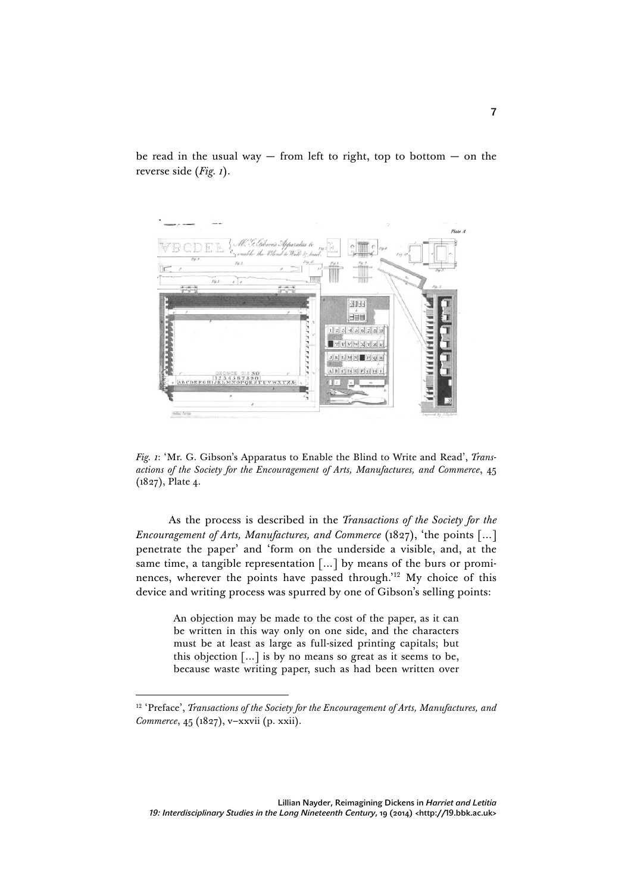

be read in the usual way  $-$  from left to right, top to bottom  $-$  on the reverse side (*Fig. 1*).

*Fig. 1*: 'Mr. G. Gibson's Apparatus to Enable the Blind to Write and Read', *Transactions of the Society for the Encouragement of Arts, Manufactures, and Commerce*, 45 (1827), Plate 4.

As the process is described in the *Transactions of the Society for the Encouragement of Arts, Manufactures, and Commerce* (1827), 'the points […] penetrate the paper' and 'form on the underside a visible, and, at the same time, a tangible representation […] by means of the burs or prominences, wherever the points have passed through.' <sup>12</sup> My choice of this device and writing process was spurred by one of Gibson's selling points:

> An objection may be made to the cost of the paper, as it can be written in this way only on one side, and the characters must be at least as large as full-sized printing capitals; but this objection […] is by no means so great as it seems to be, because waste writing paper, such as had been written over

<sup>&</sup>lt;sup>12</sup> 'Preface', *Transactions of the Society for the Encouragement of Arts, Manufactures, and Commerce*, 45 (1827), v–xxvii (p. xxii).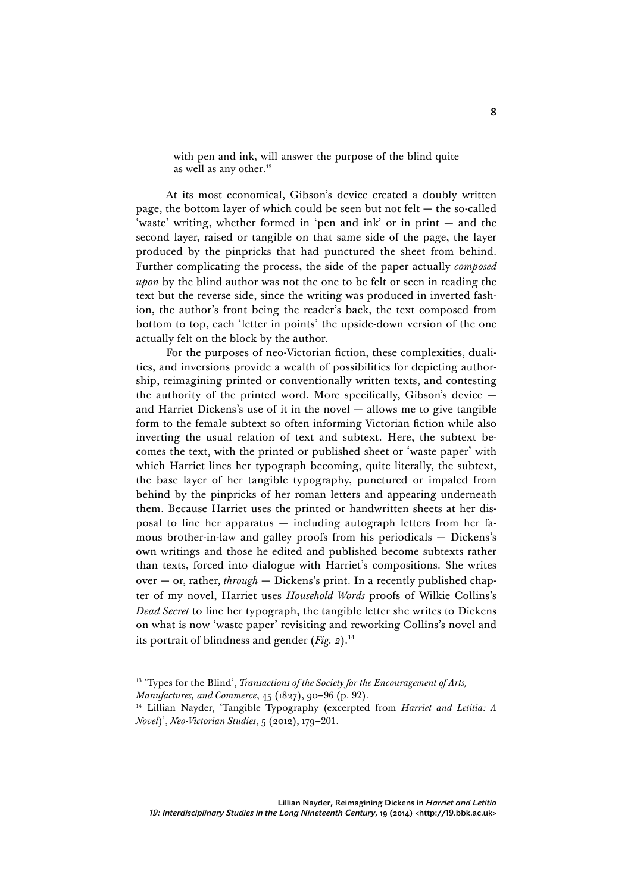with pen and ink, will answer the purpose of the blind quite as well as any other. 13

At its most economical, Gibson's device created a doubly written page, the bottom layer of which could be seen but not felt — the so-called 'waste' writing, whether formed in 'pen and ink' or in print — and the second layer, raised or tangible on that same side of the page, the layer produced by the pinpricks that had punctured the sheet from behind. Further complicating the process, the side of the paper actually *composed upon* by the blind author was not the one to be felt or seen in reading the text but the reverse side, since the writing was produced in inverted fashion, the author's front being the reader's back, the text composed from bottom to top, each 'letter in points' the upside-down version of the one actually felt on the block by the author.

For the purposes of neo-Victorian fiction, these complexities, dualities, and inversions provide a wealth of possibilities for depicting authorship, reimagining printed or conventionally written texts, and contesting the authority of the printed word. More specifically, Gibson's device  $$ and Harriet Dickens's use of it in the novel — allows me to give tangible form to the female subtext so often informing Victorian fiction while also inverting the usual relation of text and subtext. Here, the subtext becomes the text, with the printed or published sheet or 'waste paper' with which Harriet lines her typograph becoming, quite literally, the subtext, the base layer of her tangible typography, punctured or impaled from behind by the pinpricks of her roman letters and appearing underneath them. Because Harriet uses the printed or handwritten sheets at her disposal to line her apparatus — including autograph letters from her famous brother-in-law and galley proofs from his periodicals — Dickens's own writings and those he edited and published become subtexts rather than texts, forced into dialogue with Harriet's compositions. She writes over — or, rather, *through* — Dickens's print. In a recently published chapter of my novel, Harriet uses *Household Words* proofs of Wilkie Collins's *Dead Secret* to line her typograph, the tangible letter she writes to Dickens on what is now 'waste paper' revisiting and reworking Collins's novel and its portrait of blindness and gender (*Fig. 2*). 14

<sup>&</sup>lt;sup>13</sup> 'Types for the Blind', *Transactions of the Society for the Encouragement of Arts*, *Manufactures, and Commerce*, 45 (1827), 90–96 (p. 92).

<sup>14</sup> Lillian Nayder, 'Tangible Typography (excerpted from *Harriet and Letitia: A Novel*)', *Neo-Victorian Studies*, 5 (2012), 179–201.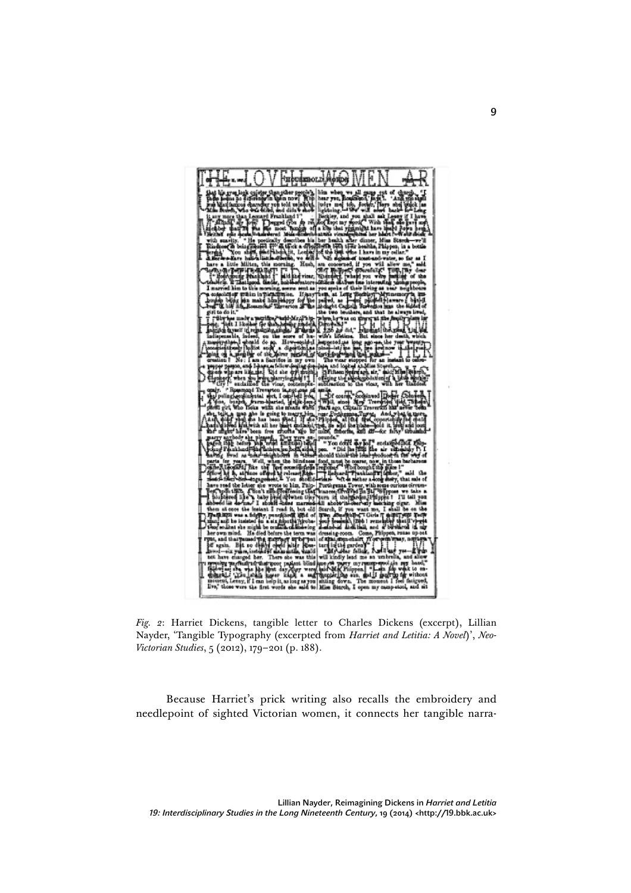

*Fig. 2*: Harriet Dickens, tangible letter to Charles Dickens (excerpt), Lillian Nayder, 'Tangible Typography (excerpted from *Harriet and Letitia: A Novel*)', *Neo-Victorian Studies*, 5 (2012), 179–201 (p. 188).

Because Harriet's prick writing also recalls the embroidery and needlepoint of sighted Victorian women, it connects her tangible narra-